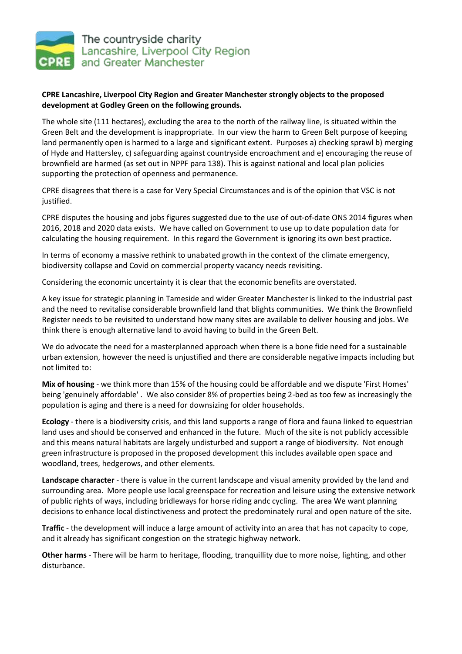

## **CPRE Lancashire, Liverpool City Region and Greater Manchester strongly objects to the proposed development at Godley Green on the following grounds.**

The whole site (111 hectares), excluding the area to the north of the railway line, is situated within the Green Belt and the development is inappropriate. In our view the harm to Green Belt purpose of keeping land permanently open is harmed to a large and significant extent. Purposes a) checking sprawl b) merging of Hyde and Hattersley, c) safeguarding against countryside encroachment and e) encouraging the reuse of brownfield are harmed (as set out in NPPF para 138). This is against national and local plan policies supporting the protection of openness and permanence.

CPRE disagrees that there is a case for Very Special Circumstances and is of the opinion that VSC is not justified.

CPRE disputes the housing and jobs figures suggested due to the use of out-of-date ONS 2014 figures when 2016, 2018 and 2020 data exists. We have called on Government to use up to date population data for calculating the housing requirement. In this regard the Government is ignoring its own best practice.

In terms of economy a massive rethink to unabated growth in the context of the climate emergency, biodiversity collapse and Covid on commercial property vacancy needs revisiting.

Considering the economic uncertainty it is clear that the economic benefits are overstated.

A key issue for strategic planning in Tameside and wider Greater Manchester is linked to the industrial past and the need to revitalise considerable brownfield land that blights communities. We think the Brownfield Register needs to be revisited to understand how many sites are available to deliver housing and jobs. We think there is enough alternative land to avoid having to build in the Green Belt.

We do advocate the need for a masterplanned approach when there is a bone fide need for a sustainable urban extension, however the need is unjustified and there are considerable negative impacts including but not limited to:

**Mix of housing** - we think more than 15% of the housing could be affordable and we dispute 'First Homes' being 'genuinely affordable' . We also consider 8% of properties being 2-bed as too few as increasingly the population is aging and there is a need for downsizing for older households.

**Ecology** - there is a biodiversity crisis, and this land supports a range of flora and fauna linked to equestrian land uses and should be conserved and enhanced in the future. Much of the site is not publicly accessible and this means natural habitats are largely undisturbed and support a range of biodiversity. Not enough green infrastructure is proposed in the proposed development this includes available open space and woodland, trees, hedgerows, and other elements.

**Landscape character** - there is value in the current landscape and visual amenity provided by the land and surrounding area. More people use local greenspace for recreation and leisure using the extensive network of public rights of ways, including bridleways for horse riding andc cycling. The area We want planning decisions to enhance local distinctiveness and protect the predominately rural and open nature of the site.

**Traffic** - the development will induce a large amount of activity into an area that has not capacity to cope, and it already has significant congestion on the strategic highway network.

**Other harms** - There will be harm to heritage, flooding, tranquillity due to more noise, lighting, and other disturbance.